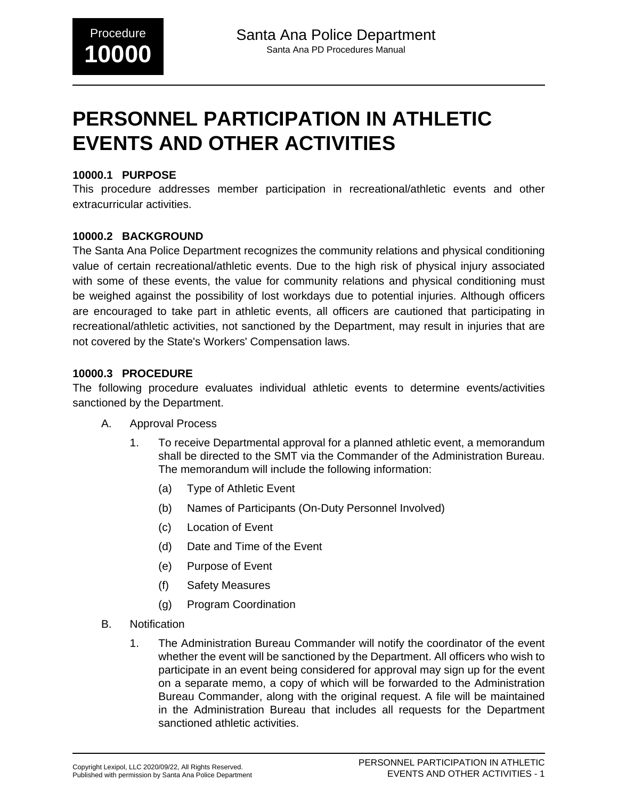# **PERSONNEL PARTICIPATION IN ATHLETIC EVENTS AND OTHER ACTIVITIES**

#### **10000.1 PURPOSE**

This procedure addresses member participation in recreational/athletic events and other extracurricular activities.

#### **10000.2 BACKGROUND**

The Santa Ana Police Department recognizes the community relations and physical conditioning value of certain recreational/athletic events. Due to the high risk of physical injury associated with some of these events, the value for community relations and physical conditioning must be weighed against the possibility of lost workdays due to potential injuries. Although officers are encouraged to take part in athletic events, all officers are cautioned that participating in recreational/athletic activities, not sanctioned by the Department, may result in injuries that are not covered by the State's Workers' Compensation laws.

#### **10000.3 PROCEDURE**

The following procedure evaluates individual athletic events to determine events/activities sanctioned by the Department.

- A. Approval Process
	- 1. To receive Departmental approval for a planned athletic event, a memorandum shall be directed to the SMT via the Commander of the Administration Bureau. The memorandum will include the following information:
		- (a) Type of Athletic Event
		- (b) Names of Participants (On-Duty Personnel Involved)
		- (c) Location of Event
		- (d) Date and Time of the Event
		- (e) Purpose of Event
		- (f) Safety Measures
		- (g) Program Coordination
- B. Notification
	- 1. The Administration Bureau Commander will notify the coordinator of the event whether the event will be sanctioned by the Department. All officers who wish to participate in an event being considered for approval may sign up for the event on a separate memo, a copy of which will be forwarded to the Administration Bureau Commander, along with the original request. A file will be maintained in the Administration Bureau that includes all requests for the Department sanctioned athletic activities.